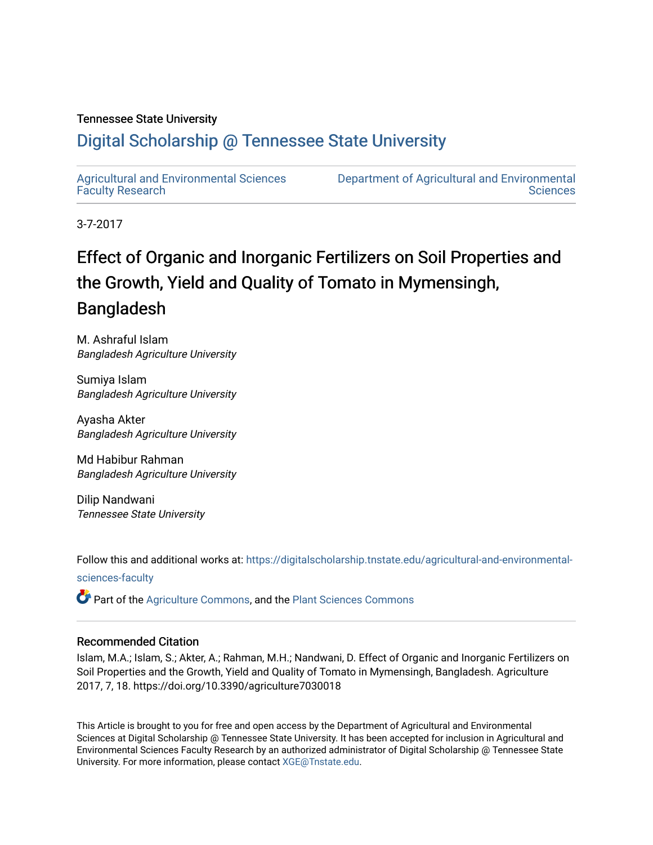#### Tennessee State University

### [Digital Scholarship @ Tennessee State University](https://digitalscholarship.tnstate.edu/)

[Agricultural and Environmental Sciences](https://digitalscholarship.tnstate.edu/agricultural-and-environmental-sciences-faculty)  [Faculty Research](https://digitalscholarship.tnstate.edu/agricultural-and-environmental-sciences-faculty)

[Department of Agricultural and Environmental](https://digitalscholarship.tnstate.edu/agricultural-and-environmental-sciences)  **Sciences** 

3-7-2017

## Effect of Organic and Inorganic Fertilizers on Soil Properties and the Growth, Yield and Quality of Tomato in Mymensingh, Bangladesh

M. Ashraful Islam Bangladesh Agriculture University

Sumiya Islam Bangladesh Agriculture University

Ayasha Akter Bangladesh Agriculture University

Md Habibur Rahman Bangladesh Agriculture University

Dilip Nandwani Tennessee State University

Follow this and additional works at: [https://digitalscholarship.tnstate.edu/agricultural-and-environmental](https://digitalscholarship.tnstate.edu/agricultural-and-environmental-sciences-faculty?utm_source=digitalscholarship.tnstate.edu%2Fagricultural-and-environmental-sciences-faculty%2F213&utm_medium=PDF&utm_campaign=PDFCoverPages)[sciences-faculty](https://digitalscholarship.tnstate.edu/agricultural-and-environmental-sciences-faculty?utm_source=digitalscholarship.tnstate.edu%2Fagricultural-and-environmental-sciences-faculty%2F213&utm_medium=PDF&utm_campaign=PDFCoverPages)

Part of the [Agriculture Commons](http://network.bepress.com/hgg/discipline/1076?utm_source=digitalscholarship.tnstate.edu%2Fagricultural-and-environmental-sciences-faculty%2F213&utm_medium=PDF&utm_campaign=PDFCoverPages), and the [Plant Sciences Commons](http://network.bepress.com/hgg/discipline/102?utm_source=digitalscholarship.tnstate.edu%2Fagricultural-and-environmental-sciences-faculty%2F213&utm_medium=PDF&utm_campaign=PDFCoverPages) 

#### Recommended Citation

Islam, M.A.; Islam, S.; Akter, A.; Rahman, M.H.; Nandwani, D. Effect of Organic and Inorganic Fertilizers on Soil Properties and the Growth, Yield and Quality of Tomato in Mymensingh, Bangladesh. Agriculture 2017, 7, 18. https://doi.org/10.3390/agriculture7030018

This Article is brought to you for free and open access by the Department of Agricultural and Environmental Sciences at Digital Scholarship @ Tennessee State University. It has been accepted for inclusion in Agricultural and Environmental Sciences Faculty Research by an authorized administrator of Digital Scholarship @ Tennessee State University. For more information, please contact [XGE@Tnstate.edu](mailto:XGE@Tnstate.edu).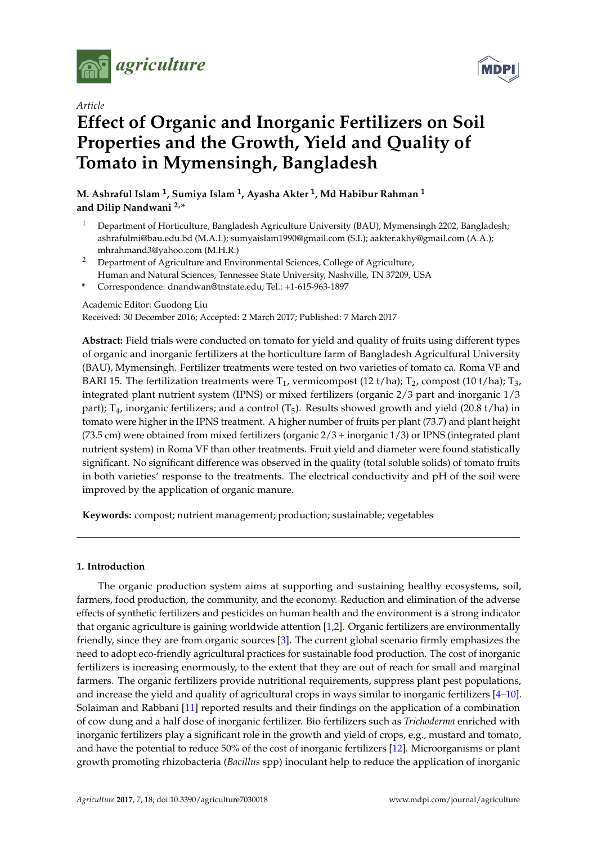

*Article*

# **MDPI**

## **Effect of Organic and Inorganic Fertilizers on Soil Properties and the Growth, Yield and Quality of Tomato in Mymensingh, Bangladesh**

**M. Ashraful Islam <sup>1</sup> , Sumiya Islam <sup>1</sup> , Ayasha Akter <sup>1</sup> , Md Habibur Rahman <sup>1</sup> and Dilip Nandwani 2,\***

- <sup>1</sup> Department of Horticulture, Bangladesh Agriculture University (BAU), Mymensingh 2202, Bangladesh; ashrafulmi@bau.edu.bd (M.A.I.); sumyaislam1990@gmail.com (S.I.); aakter.akhy@gmail.com (A.A.); mhrahmand3@yahoo.com (M.H.R.)
- <sup>2</sup> Department of Agriculture and Environmental Sciences, College of Agriculture, Human and Natural Sciences, Tennessee State University, Nashville, TN 37209, USA
- **\*** Correspondence: dnandwan@tnstate.edu; Tel.: +1-615-963-1897

Academic Editor: Guodong Liu

Received: 30 December 2016; Accepted: 2 March 2017; Published: 7 March 2017

**Abstract:** Field trials were conducted on tomato for yield and quality of fruits using different types of organic and inorganic fertilizers at the horticulture farm of Bangladesh Agricultural University (BAU), Mymensingh. Fertilizer treatments were tested on two varieties of tomato ca. Roma VF and BARI 15. The fertilization treatments were  $T_1$ , vermicompost (12 t/ha);  $T_2$ , compost (10 t/ha);  $T_3$ , integrated plant nutrient system (IPNS) or mixed fertilizers (organic 2/3 part and inorganic 1/3 part);  $T_4$ , inorganic fertilizers; and a control ( $T_5$ ). Results showed growth and yield (20.8 t/ha) in tomato were higher in the IPNS treatment. A higher number of fruits per plant (73.7) and plant height (73.5 cm) were obtained from mixed fertilizers (organic 2/3 + inorganic 1/3) or IPNS (integrated plant nutrient system) in Roma VF than other treatments. Fruit yield and diameter were found statistically significant. No significant difference was observed in the quality (total soluble solids) of tomato fruits in both varieties' response to the treatments. The electrical conductivity and pH of the soil were improved by the application of organic manure.

**Keywords:** compost; nutrient management; production; sustainable; vegetables

#### **1. Introduction**

The organic production system aims at supporting and sustaining healthy ecosystems, soil, farmers, food production, the community, and the economy. Reduction and elimination of the adverse effects of synthetic fertilizers and pesticides on human health and the environment is a strong indicator that organic agriculture is gaining worldwide attention [\[1](#page-6-0)[,2\]](#page-6-1). Organic fertilizers are environmentally friendly, since they are from organic sources [\[3\]](#page-6-2). The current global scenario firmly emphasizes the need to adopt eco-friendly agricultural practices for sustainable food production. The cost of inorganic fertilizers is increasing enormously, to the extent that they are out of reach for small and marginal farmers. The organic fertilizers provide nutritional requirements, suppress plant pest populations, and increase the yield and quality of agricultural crops in ways similar to inorganic fertilizers [\[4–](#page-6-3)[10\]](#page-6-4). Solaiman and Rabbani [\[11\]](#page-6-5) reported results and their findings on the application of a combination of cow dung and a half dose of inorganic fertilizer. Bio fertilizers such as *Trichoderma* enriched with inorganic fertilizers play a significant role in the growth and yield of crops, e.g., mustard and tomato, and have the potential to reduce 50% of the cost of inorganic fertilizers [\[12\]](#page-6-6). Microorganisms or plant growth promoting rhizobacteria (*Bacillus* spp) inoculant help to reduce the application of inorganic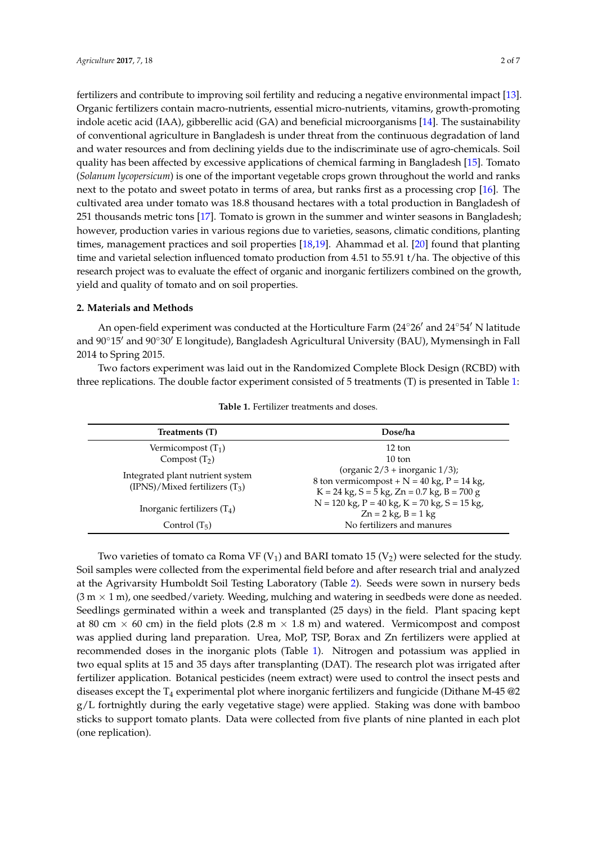fertilizers and contribute to improving soil fertility and reducing a negative environmental impact [\[13\]](#page-6-7). Organic fertilizers contain macro-nutrients, essential micro-nutrients, vitamins, growth-promoting indole acetic acid (IAA), gibberellic acid (GA) and beneficial microorganisms [\[14\]](#page-6-8). The sustainability of conventional agriculture in Bangladesh is under threat from the continuous degradation of land and water resources and from declining yields due to the indiscriminate use of agro-chemicals. Soil quality has been affected by excessive applications of chemical farming in Bangladesh [\[15\]](#page-6-9). Tomato (*Solanum lycopersicum*) is one of the important vegetable crops grown throughout the world and ranks next to the potato and sweet potato in terms of area, but ranks first as a processing crop [\[16\]](#page-6-10). The cultivated area under tomato was 18.8 thousand hectares with a total production in Bangladesh of 251 thousands metric tons [\[17\]](#page-6-11). Tomato is grown in the summer and winter seasons in Bangladesh; however, production varies in various regions due to varieties, seasons, climatic conditions, planting times, management practices and soil properties [\[18](#page-6-12)[,19\]](#page-7-0). Ahammad et al. [\[20\]](#page-7-1) found that planting time and varietal selection influenced tomato production from 4.51 to 55.91 t/ha. The objective of this research project was to evaluate the effect of organic and inorganic fertilizers combined on the growth, yield and quality of tomato and on soil properties.

#### **2. Materials and Methods**

An open-field experiment was conducted at the Horticulture Farm  $(24°26'$  and  $24°54'$  N latitude and 90°15' and 90°30' E longitude), Bangladesh Agricultural University (BAU), Mymensingh in Fall 2014 to Spring 2015.

Two factors experiment was laid out in the Randomized Complete Block Design (RCBD) with three replications. The double factor experiment consisted of 5 treatments (T) is presented in Table [1:](#page-2-0)

<span id="page-2-0"></span>

| Treatments (T)                                                         | Dose/ha                                                                                                                                      |
|------------------------------------------------------------------------|----------------------------------------------------------------------------------------------------------------------------------------------|
| Vermicompost $(T_1)$                                                   | 12 ton                                                                                                                                       |
| Compost $(T_2)$                                                        | $10 \text{ ton}$                                                                                                                             |
| Integrated plant nutrient system<br>$(IPNS)/Mixed$ fertilizers $(T_3)$ | (organic $2/3$ + inorganic $1/3$ );<br>8 ton vermicompost + $N = 40$ kg, $P = 14$ kg,<br>$K = 24$ kg, $S = 5$ kg, $Zn = 0.7$ kg, $B = 700$ g |
| Inorganic fertilizers $(T_4)$                                          | $N = 120$ kg, $P = 40$ kg, $K = 70$ kg, $S = 15$ kg,<br>$Zn = 2$ kg, $B = 1$ kg                                                              |
| Control $(T_5)$                                                        | No fertilizers and manures                                                                                                                   |

**Table 1.** Fertilizer treatments and doses.

Two varieties of tomato ca Roma VF (V<sub>1</sub>) and BARI tomato 15 (V<sub>2</sub>) were selected for the study. Soil samples were collected from the experimental field before and after research trial and analyzed at the Agrivarsity Humboldt Soil Testing Laboratory (Table [2\)](#page-3-0). Seeds were sown in nursery beds  $(3 m \times 1 m)$ , one seedbed/variety. Weeding, mulching and watering in seedbeds were done as needed. Seedlings germinated within a week and transplanted (25 days) in the field. Plant spacing kept at 80 cm  $\times$  60 cm) in the field plots (2.8 m  $\times$  1.8 m) and watered. Vermicompost and compost was applied during land preparation. Urea, MoP, TSP, Borax and Zn fertilizers were applied at recommended doses in the inorganic plots (Table [1\)](#page-2-0). Nitrogen and potassium was applied in two equal splits at 15 and 35 days after transplanting (DAT). The research plot was irrigated after fertilizer application. Botanical pesticides (neem extract) were used to control the insect pests and diseases except the  $T_4$  experimental plot where inorganic fertilizers and fungicide (Dithane M-45  $@2$ g/L fortnightly during the early vegetative stage) were applied. Staking was done with bamboo sticks to support tomato plants. Data were collected from five plants of nine planted in each plot (one replication).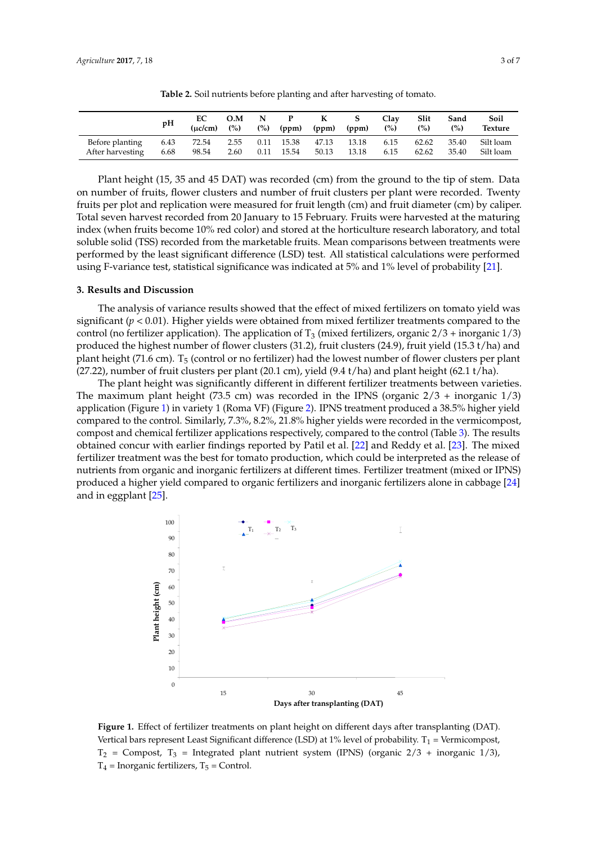<span id="page-3-0"></span>

|                                     | pH           | EC             |      |      |       | O.M N P K S | ( $\mu$ c/cm) (%) (%) (ppm) (ppm) (ppm) (%) | Clay         | Slit<br>(%)    | Sand<br>(%) | Soil<br><b>Texture</b>       |
|-------------------------------------|--------------|----------------|------|------|-------|-------------|---------------------------------------------|--------------|----------------|-------------|------------------------------|
| Before planting<br>After harvesting | 6.43<br>6.68 | 72.54<br>98.54 | 2.60 | 0.11 | 15.54 | 50.13 13.18 | 2.55 0.11 15.38 47.13 13.18                 | 6.15<br>6.15 | 62.62<br>62.62 | 35.40       | 35.40 Silt loam<br>Silt loam |

**Table 2.** Soil nutrients before planting and after harvesting of tomato.

Plant height (15, 35 and 45 DAT) was recorded (cm) from the ground to the tip of stem. Data<br>umber of fruits, flower clusters and number of fruit clusters per plant were recorded. Twenty on number of fruits, flower clusters and number of fruit clusters per plant were recorded. Twenty fruits per plot and replication were measured for fruit length (cm) and fruit diameter (cm) by caliper. Total seven harvest recorded from 20 January to 15 February. Fruits were harvested at the maturing Total seven harvest recorded from 20 January to 15 February. Fruits were harvested at the maturing index (when fruits become 10% red color) and stored at the horticulture research laboratory, and total soluble solid (TSS) recorded from the marketable fruits. Mean comparisons between treatments were performed by the least significant difference (LSD) test. All statistical calculations were performed using F-variance test, statistical significance was indicated at 5% and 1% level of probability  $[21]$ . planting 6.43 72.54 2.55 0.11 15.38 47.13 13.18 6.15 62.62 35.40 Silt number of fruits and number of failures per plant conditions were recorded at the fit

#### **3. Results and Discussion**

Before

The analysis of variance results showed that the effect of mixed fertilizers on tomato yield was significant (*p* < 0.01). Higher yields were obtained from mixed fertilizer treatments compared to the control (no fertilizer application). The application of T<sub>3</sub> (mixed fertilizers, organic  $2/3$  + inorganic  $1/3$ ) produced the highest number of flower clusters (31.2), fruit clusters (24.9), fruit yield (15.3 t/ha) and plant height (71.6 cm). T<sub>5</sub> (control or no fertilizer) had the lowest number of flower clusters per plant produced the entity. The term of the following the following the highest number of flower clusters  $\frac{1}{2}$  (27.22), number of fruit clusters per plant (20.1 cm), yield (9.4 t/ha) and plant height (62.1 t/ha).  $p_{\text{max}}$  (7.6 cm). The lowest number of flower characterizers per plant  $p_{\text{max}}$  and  $p_{\text{max}}$  and  $p_{\text{max}}$  (02.1 c).

The plant height was significantly different in different fertilizer treatments between varieties. The maximum plant height (73.5 cm) was recorded in the IPNS (organic  $2/3$  + inorganic  $1/3$ ) application (Figure [1\)](#page-3-1) in variety 1 (Roma VF) (Figure [2\)](#page-4-0). IPNS treatment produced a 38.5% higher yield compared to the control. Similarly, 7.3%, 8.2%, 21.8% higher yields were recorded in the vermicompost, compost and chemical fertilizer applications respectively, compared to the control (Table [3\)](#page-4-1). The results obtained concur with earlier findings reported by Patil et al. [\[22\]](#page-7-3) and Reddy et al. [\[23\]](#page-7-4). The mixed fertilizer treatment was the best for tomato production, which could be interpreted as the release of nutrients from organic and inorganic fertilizers at different times. Fertilizer treatment (mixed or IPNS) produced a higher yield compared to organic fertilizers and inorganic fertilizers alone in cabbage [\[24\]](#page-7-5) and in eggplant [\[25\]](#page-7-6).  $\frac{1}{\sqrt{1-\frac{1}{\sqrt{1-\frac{1}{\sqrt{1-\frac{1}{\sqrt{1-\frac{1}{\sqrt{1-\frac{1}{\sqrt{1-\frac{1}{\sqrt{1-\frac{1}{\sqrt{1-\frac{1}{\sqrt{1-\frac{1}{\sqrt{1-\frac{1}{\sqrt{1-\frac{1}{\sqrt{1-\frac{1}{\sqrt{1-\frac{1}{\sqrt{1-\frac{1}{\sqrt{1-\frac{1}{\sqrt{1-\frac{1}{\sqrt{1-\frac{1}{\sqrt{1-\frac{1}{\sqrt{1-\frac{1}{\sqrt{1-\frac{1}{\sqrt{1-\frac{1}{\sqrt{1-\frac{1}{\sqrt{1-\frac{1}{\sqrt{1-\frac{1$ 

<span id="page-3-1"></span>

**Figure 1.** Effect of fertilizer treatments on plant height on different days after transplanting (DAT). Vertical bars represent Least Significant difference (LSD) at 1% level of probability.  $T_1$  = Vermicompost,  $T_2$  = Compost,  $T_3$  = Integrated plant nutrient system (IPNS) (organic 2/3 + inorganic 1/3),  $T_4$  = Inorganic fertilizers,  $T_5$  = Control.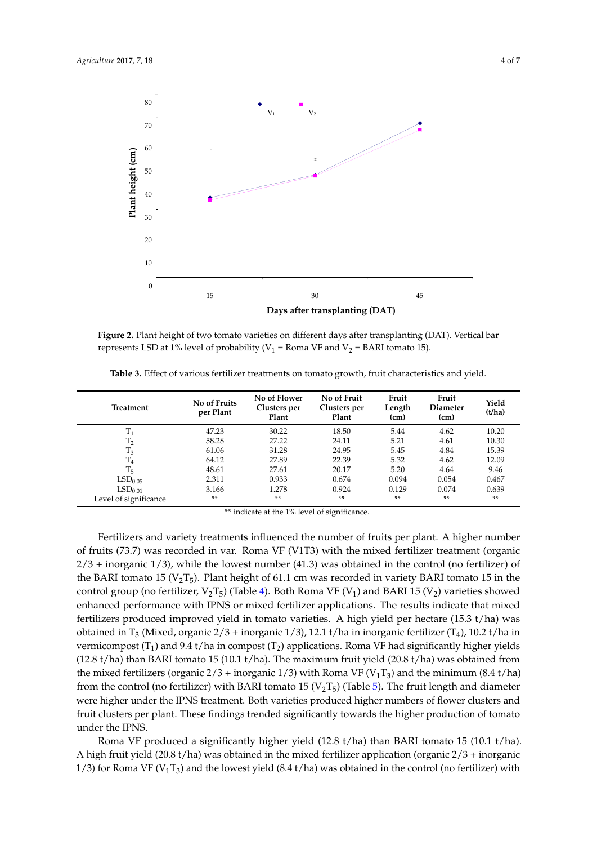<span id="page-4-0"></span>

**Figure 2.** Plant height of two tomato varieties on different days after transplanting (DAT). Vertical bar represents LSD at 1% level of probability (V<sub>1</sub> = Roma VF and V<sub>2</sub> = BARI tomato 15).

| Treatment             | No of Fruits<br>per Plant | No of Flower<br>Clusters per<br>Plant | No of Fruit<br>Clusters per<br>Plant | Fruit<br>Length<br>(cm) | Fruit<br>Diameter<br>(cm) | Yield<br>(t/ha) |
|-----------------------|---------------------------|---------------------------------------|--------------------------------------|-------------------------|---------------------------|-----------------|
| $T_1$                 | 47.23                     | 30.22                                 | 18.50                                | 5.44                    | 4.62                      | 10.20           |
| T <sub>2</sub>        | 58.28                     | 27.22                                 | 24.11                                | 5.21                    | 4.61                      | 10.30           |
| $T_3$                 | 61.06                     | 31.28                                 | 24.95                                | 5.45                    | 4.84                      | 15.39           |
| $T_{4}$               | 64.12                     | 27.89                                 | 22.39                                | 5.32                    | 4.62                      | 12.09           |
| $T_5$                 | 48.61                     | 27.61                                 | 20.17                                | 5.20                    | 4.64                      | 9.46            |
| LSD <sub>0.05</sub>   | 2.311                     | 0.933                                 | 0.674                                | 0.094                   | 0.054                     | 0.467           |
| LSD <sub>0.01</sub>   | 3.166                     | 1.278                                 | 0.924                                | 0.129                   | 0.074                     | 0.639           |
| Level of significance | **                        | **                                    | **                                   | **                      | **                        | **              |

<span id="page-4-1"></span>**Table 3.** Effect of various fertilizer treatments on tomato growth, fruit characteristics and yield. **Table 3.** Effect of various fertilizer treatments on tomato growth, fruit characteristics and yield.

\*\* indicate at the 1% level of significance.

**Fertilizers and variety treatments influenced the number of fruits per plant. A higher number** of fruits (73.7) was recorded in var. Roma VF (V1T3) with the mixed fertilizer treatment (organic  $2/3$  + inorganic 1/3), while the lowest number (41.3) was obtained in the control (no fertilizer) of the BARI tomato 15 ( $V_2T_5$ ). Plant height of 61.1 cm was recorded in variety BARI tomato 15 in the control group (no fertilizer,  $V_2T_5$ ) (Table [4\)](#page-5-0). Both Roma VF (V<sub>1</sub>) and BARI 15 (V<sub>2</sub>) varieties showed enhanced performance with IPNS or mixed fertilizer applications. The results indicate that mixed fertilizers produced improved yield in tomato varieties. A high yield per hectare (15.3 t/ha) was obtained in T<sub>3</sub> (Mixed, organic  $2/3$  + inorganic  $1/3$ ), 12.1 t/ha in inorganic fertilizer (T<sub>4</sub>), 10.2 t/ha in vermicompost (T<sub>1</sub>) and 9.4 t/ha in compost (T<sub>2</sub>) applications. Roma VF had significantly higher yields (12.8 t/ha) than BARI tomato 15 (10.1 t/ha). The maximum fruit yield (20.8 t/ha) was obtained from the mixed fertilizers (organic  $2/3$  + inorganic  $1/3$ ) with Roma VF (V<sub>1</sub>T<sub>3</sub>) and the minimum (8.4 t/ha) from the control (no fertilizer) with BARI tomato 15 ( $V_2T_5$ ) (Table [5\)](#page-5-1). The fruit length and diameter were higher under the IPNS treatment. Both varieties produced higher numbers of flower clusters and fruit clusters per plant. These findings trended significantly towards the higher production of tomato under the IPNS.

Roma VF produced a significantly higher yield (12.8 t/ha) than BARI tomato 15 (10.1 t/ha). A high fruit yield (20.8 t/ha) was obtained in the mixed fertilizer application (organic  $2/3$  + inorganic 1/3) for Roma VF (V<sub>1</sub>T<sub>3</sub>) and the lowest yield (8.4 t/ha) was obtained in the control (no fertilizer) with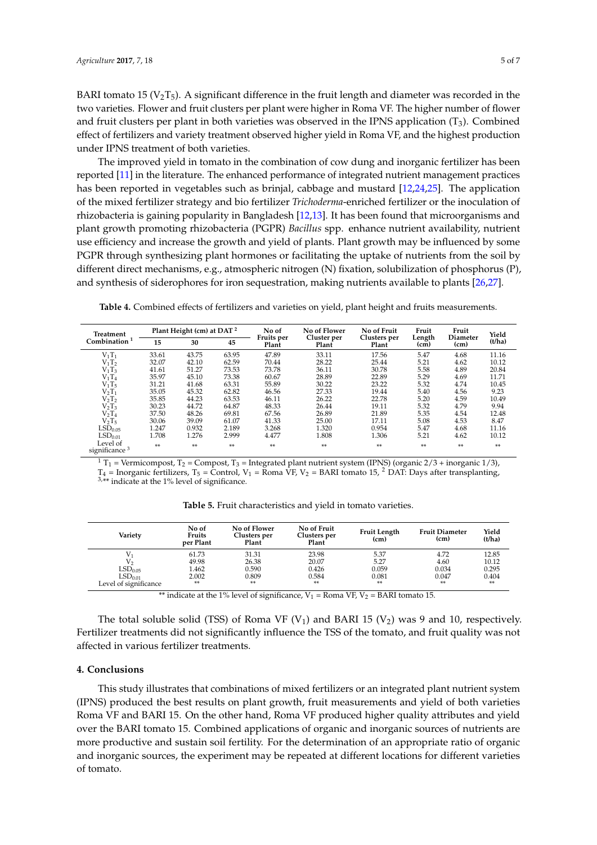BARI tomato 15 ( $V_2$ T<sub>5</sub>). A significant difference in the fruit length and diameter was recorded in the two varieties. Flower and fruit clusters per plant were higher in Roma VF. The higher number of flower and fruit clusters per plant in both varieties was observed in the IPNS application  $(T_3)$ . Combined effect of fertilizers and variety treatment observed higher yield in Roma VF, and the highest production under IPNS treatment of both varieties.

The improved yield in tomato in the combination of cow dung and inorganic fertilizer has been reported [\[11\]](#page-6-5) in the literature. The enhanced performance of integrated nutrient management practices has been reported in vegetables such as brinjal, cabbage and mustard [\[12](#page-6-6)[,24](#page-7-5)[,25\]](#page-7-6). The application of the mixed fertilizer strategy and bio fertilizer *Trichoderma*-enriched fertilizer or the inoculation of rhizobacteria is gaining popularity in Bangladesh [\[12](#page-6-6)[,13\]](#page-6-7). It has been found that microorganisms and plant growth promoting rhizobacteria (PGPR) *Bacillus* spp. enhance nutrient availability, nutrient use efficiency and increase the growth and yield of plants. Plant growth may be influenced by some PGPR through synthesizing plant hormones or facilitating the uptake of nutrients from the soil by different direct mechanisms, e.g., atmospheric nitrogen (N) fixation, solubilization of phosphorus (P), and synthesis of siderophores for iron sequestration, making nutrients available to plants [\[26](#page-7-7)[,27\]](#page-7-8).

| <b>Treatment</b><br>Combination $1$ | Plant Height (cm) at DAT <sup>2</sup> |       |       | No of               | No of Flower         | No of Fruit           | Fruit          | Fruit                   | Yield  |
|-------------------------------------|---------------------------------------|-------|-------|---------------------|----------------------|-----------------------|----------------|-------------------------|--------|
|                                     | 15                                    | 30    | 45    | Fruits per<br>Plant | Cluster per<br>Plant | Clusters per<br>Plant | Length<br>(cm) | <b>Diameter</b><br>(cm) | (t/ha) |
| $V_1T_1$                            | 33.61                                 | 43.75 | 63.95 | 47.89               | 33.11                | 17.56                 | 5.47           | 4.68                    | 11.16  |
| $V_1T_2$                            | 32.07                                 | 42.10 | 62.59 | 70.44               | 28.22                | 25.44                 | 5.21           | 4.62                    | 10.12  |
| $V_1T_3$                            | 41.61                                 | 51.27 | 73.53 | 73.78               | 36.11                | 30.78                 | 5.58           | 4.89                    | 20.84  |
| $V_1T_4$                            | 35.97                                 | 45.10 | 73.38 | 60.67               | 28.89                | 22.89                 | 5.29           | 4.69                    | 11.71  |
| $V_1T_5$                            | 31.21                                 | 41.68 | 63.31 | 55.89               | 30.22                | 23.22                 | 5.32           | 4.74                    | 10.45  |
| $V_2T_1$                            | 35.05                                 | 45.32 | 62.82 | 46.56               | 27.33                | 19.44                 | 5.40           | 4.56                    | 9.23   |
| $V_2T_2$                            | 35.85                                 | 44.23 | 63.53 | 46.11               | 26.22                | 22.78                 | 5.20           | 4.59                    | 10.49  |
| $V_2T_3$                            | 30.23                                 | 44.72 | 64.87 | 48.33               | 26.44                | 19.11                 | 5.32           | 4.79                    | 9.94   |
| $V_2T_4$                            | 37.50                                 | 48.26 | 69.81 | 67.56               | 26.89                | 21.89                 | 5.35           | 4.54                    | 12.48  |
| $V_2T_5$                            | 30.06                                 | 39.09 | 61.07 | 41.33               | 25.00                | 17.11                 | 5.08           | 4.53                    | 8.47   |
| LSD <sub>0.05</sub>                 | 1.247                                 | 0.932 | 2.189 | 3.268               | 1.320                | 0.954                 | 5.47           | 4.68                    | 11.16  |
| LSD <sub>0.01</sub>                 | 1.708                                 | 1.276 | 2.999 | 4.477               | 1.808                | 1.306                 | 5.21           | 4.62                    | 10.12  |
| Level of<br>significance $3$        | $**$                                  | **    | **    | $**$                | **                   | $**$                  | **             | $**$                    | **     |

<span id="page-5-0"></span>**Table 4.** Combined effects of fertilizers and varieties on yield, plant height and fruits measurements.

 $1 T_1$  = Vermicompost,  $T_2$  = Compost,  $T_3$  = Integrated plant nutrient system (IPNS) (organic 2/3 + inorganic 1/3),  $T_4$  = Inorganic fertilizers,  $T_5$  = Control,  $V_1$  = Roma VF,  $V_2$  = BARI tomato 15, <sup>2</sup> DAT: Days after transplanting, 3,\*\* indicate at the 1% level of significance.

<span id="page-5-1"></span>

| Variety               | No of<br>Fruits<br>per Plant | No of Flower<br>Clusters per<br>Plant <sup>-</sup> | No of Fruit<br>Clusters per<br>Plant | <b>Fruit Length</b><br>(c <sub>m</sub> ) | <b>Fruit Diameter</b><br>(c <sub>m</sub> ) | Yield<br>(t/ha) |
|-----------------------|------------------------------|----------------------------------------------------|--------------------------------------|------------------------------------------|--------------------------------------------|-----------------|
|                       | 61.73                        | 31.31                                              | 23.98                                | 5.37                                     | 4.72                                       | 12.85           |
| $V_{2}$               | 49.98                        | 26.38                                              | 20.07                                | 5.27                                     | 4.60                                       | 10.12           |
| LSD <sub>0.05</sub>   | 1.462                        | 0.590                                              | 0.426                                | 0.059                                    | 0.034                                      | 0.295           |
| LSD <sub>0.01</sub>   | 2.002                        | 0.809                                              | 0.584                                | 0.081                                    | 0.047                                      | 0.404           |
| Level of significance | **                           | $***$                                              | **                                   | $***$                                    | **                                         | **              |

**Table 5.** Fruit characteristics and yield in tomato varieties.

\*\* indicate at the 1% level of significance,  $V_1$  = Roma VF,  $V_2$  = BARI tomato 15.

The total soluble solid (TSS) of Roma VF (V<sub>1</sub>) and BARI 15 (V<sub>2</sub>) was 9 and 10, respectively. Fertilizer treatments did not significantly influence the TSS of the tomato, and fruit quality was not affected in various fertilizer treatments.

#### **4. Conclusions**

This study illustrates that combinations of mixed fertilizers or an integrated plant nutrient system (IPNS) produced the best results on plant growth, fruit measurements and yield of both varieties Roma VF and BARI 15. On the other hand, Roma VF produced higher quality attributes and yield over the BARI tomato 15. Combined applications of organic and inorganic sources of nutrients are more productive and sustain soil fertility. For the determination of an appropriate ratio of organic and inorganic sources, the experiment may be repeated at different locations for different varieties of tomato.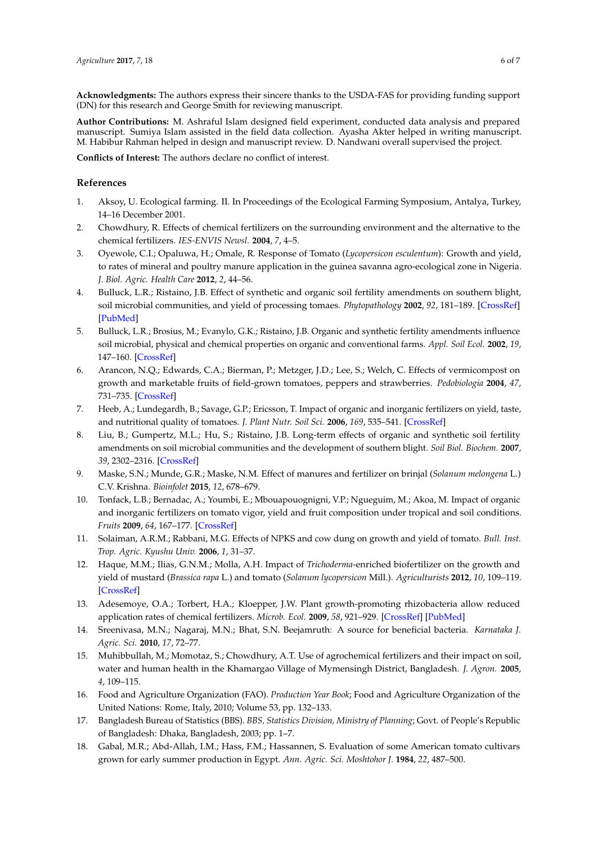**Acknowledgments:** The authors express their sincere thanks to the USDA-FAS for providing funding support (DN) for this research and George Smith for reviewing manuscript.

**Author Contributions:** M. Ashraful Islam designed field experiment, conducted data analysis and prepared manuscript. Sumiya Islam assisted in the field data collection. Ayasha Akter helped in writing manuscript. M. Habibur Rahman helped in design and manuscript review. D. Nandwani overall supervised the project.

**Conflicts of Interest:** The authors declare no conflict of interest.

#### **References**

- <span id="page-6-0"></span>1. Aksoy, U. Ecological farming. II. In Proceedings of the Ecological Farming Symposium, Antalya, Turkey, 14–16 December 2001.
- <span id="page-6-1"></span>2. Chowdhury, R. Effects of chemical fertilizers on the surrounding environment and the alternative to the chemical fertilizers. *IES-ENVIS Newsl.* **2004**, *7*, 4–5.
- <span id="page-6-2"></span>3. Oyewole, C.I.; Opaluwa, H.; Omale, R. Response of Tomato (*Lycopersicon esculentum*): Growth and yield, to rates of mineral and poultry manure application in the guinea savanna agro-ecological zone in Nigeria. *J. Biol. Agric. Health Care* **2012**, *2*, 44–56.
- <span id="page-6-3"></span>4. Bulluck, L.R.; Ristaino, J.B. Effect of synthetic and organic soil fertility amendments on southern blight, soil microbial communities, and yield of processing tomaes. *Phytopathology* **2002**, *92*, 181–189. [\[CrossRef\]](http://dx.doi.org/10.1094/PHYTO.2002.92.2.181) [\[PubMed\]](http://www.ncbi.nlm.nih.gov/pubmed/18943092)
- 5. Bulluck, L.R.; Brosius, M.; Evanylo, G.K.; Ristaino, J.B. Organic and synthetic fertility amendments influence soil microbial, physical and chemical properties on organic and conventional farms. *Appl. Soil Ecol.* **2002**, *19*, 147–160. [\[CrossRef\]](http://dx.doi.org/10.1016/S0929-1393(01)00187-1)
- 6. Arancon, N.Q.; Edwards, C.A.; Bierman, P.; Metzger, J.D.; Lee, S.; Welch, C. Effects of vermicompost on growth and marketable fruits of field-grown tomatoes, peppers and strawberries. *Pedobiologia* **2004**, *47*, 731–735. [\[CrossRef\]](http://dx.doi.org/10.1078/0031-4056-00251)
- 7. Heeb, A.; Lundegardh, B.; Savage, G.P.; Ericsson, T. Impact of organic and inorganic fertilizers on yield, taste, and nutritional quality of tomatoes. *J. Plant Nutr. Soil Sci.* **2006**, *169*, 535–541. [\[CrossRef\]](http://dx.doi.org/10.1002/jpln.200520553)
- 8. Liu, B.; Gumpertz, M.L.; Hu, S.; Ristaino, J.B. Long-term effects of organic and synthetic soil fertility amendments on soil microbial communities and the development of southern blight. *Soil Biol. Biochem.* **2007**, *39*, 2302–2316. [\[CrossRef\]](http://dx.doi.org/10.1016/j.soilbio.2007.04.001)
- 9. Maske, S.N.; Munde, G.R.; Maske, N.M. Effect of manures and fertilizer on brinjal (*Solanum melongena* L.) C.V. Krishna. *Bioinfolet* **2015**, *12*, 678–679.
- <span id="page-6-4"></span>10. Tonfack, L.B.; Bernadac, A.; Youmbi, E.; Mbouapouognigni, V.P.; Ngueguim, M.; Akoa, M. Impact of organic and inorganic fertilizers on tomato vigor, yield and fruit composition under tropical and soil conditions. *Fruits* **2009**, *64*, 167–177. [\[CrossRef\]](http://dx.doi.org/10.1051/fruits/2009012)
- <span id="page-6-5"></span>11. Solaiman, A.R.M.; Rabbani, M.G. Effects of NPKS and cow dung on growth and yield of tomato. *Bull. Inst. Trop. Agric. Kyushu Univ.* **2006**, *1*, 31–37.
- <span id="page-6-6"></span>12. Haque, M.M.; Ilias, G.N.M.; Molla, A.H. Impact of *Trichoderma*-enriched biofertilizer on the growth and yield of mustard (*Brassica rapa* L.) and tomato (*Solanum lycopersicon* Mill.). *Agriculturists* **2012**, *10*, 109–119. [\[CrossRef\]](http://dx.doi.org/10.3329/agric.v10i2.13148)
- <span id="page-6-7"></span>13. Adesemoye, O.A.; Torbert, H.A.; Kloepper, J.W. Plant growth-promoting rhizobacteria allow reduced application rates of chemical fertilizers. *Microb. Ecol.* **2009**, *58*, 921–929. [\[CrossRef\]](http://dx.doi.org/10.1007/s00248-009-9531-y) [\[PubMed\]](http://www.ncbi.nlm.nih.gov/pubmed/19466478)
- <span id="page-6-8"></span>14. Sreenivasa, M.N.; Nagaraj, M.N.; Bhat, S.N. Beejamruth: A source for beneficial bacteria. *Karnataka J. Agric. Sci.* **2010**, *17*, 72–77.
- <span id="page-6-9"></span>15. Muhibbullah, M.; Momotaz, S.; Chowdhury, A.T. Use of agrochemical fertilizers and their impact on soil, water and human health in the Khamargao Village of Mymensingh District, Bangladesh. *J. Agron.* **2005**, *4*, 109–115.
- <span id="page-6-10"></span>16. Food and Agriculture Organization (FAO). *Production Year Book*; Food and Agriculture Organization of the United Nations: Rome, Italy, 2010; Volume 53, pp. 132–133.
- <span id="page-6-11"></span>17. Bangladesh Bureau of Statistics (BBS). *BBS, Statistics Division, Ministry of Planning*; Govt. of People's Republic of Bangladesh: Dhaka, Bangladesh, 2003; pp. 1–7.
- <span id="page-6-12"></span>18. Gabal, M.R.; Abd-Allah, I.M.; Hass, F.M.; Hassannen, S. Evaluation of some American tomato cultivars grown for early summer production in Egypt. *Ann. Agric. Sci. Moshtohor J.* **1984**, *22*, 487–500.